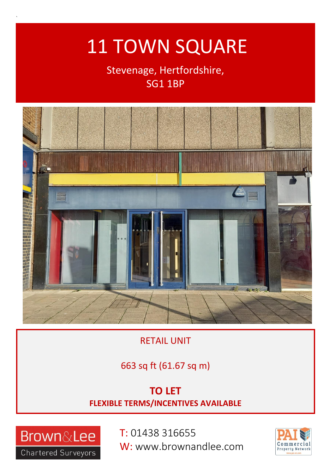# 11 TOWN SQUARE

## Stevenage, Hertfordshire, SG1 1BP



RETAIL UNIT

### 663 sq ft (61.67 sq m)

### **TO LET FLEXIBLE TERMS/INCENTIVES AVAILABLE**



`

T: 01438 316655 W: www.brownandlee.com